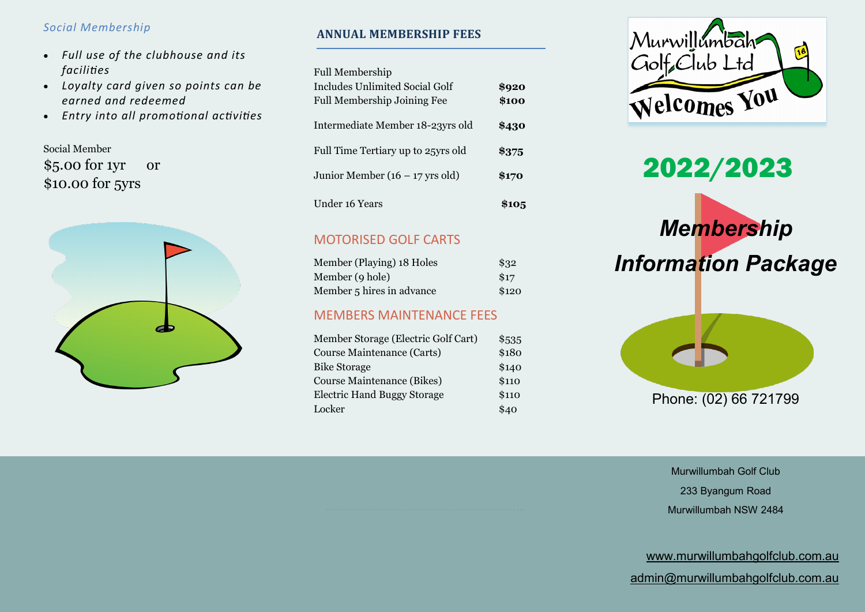- *Full use of the clubhouse and its facilities*
- *Loyalty card given so points can be earned and redeemed*
- *Entry into all promotional activities*

Social Member \$5.00 for 1yr or \$10.00 for 5yrs



# **ANNUAL MEMBERSHIP FEES** *Social Membership*

Full Membership

| <b>Includes Unlimited Social Golf</b><br>Full Membership Joining Fee | \$920<br>\$100 |
|----------------------------------------------------------------------|----------------|
| Intermediate Member 18-23yrs old                                     | \$430          |
| Full Time Tertiary up to 25yrs old                                   | \$375          |
| Junior Member $(16 - 17$ yrs old)                                    | \$170          |
| Under 16 Years                                                       | \$105          |

## MOTORISED GOLF CARTS

| Member (Playing) 18 Holes | \$32  |
|---------------------------|-------|
| Member (9 hole)           | \$17  |
| Member 5 hires in advance | \$120 |

### MEMBERS MAINTENANCE FEES

| Member Storage (Electric Golf Cart) | \$535 |
|-------------------------------------|-------|
| Course Maintenance (Carts)          | \$180 |
| <b>Bike Storage</b>                 | \$140 |
| <b>Course Maintenance (Bikes)</b>   | \$110 |
| <b>Electric Hand Buggy Storage</b>  | \$110 |
| Locker                              | \$40  |







Murwillumbah Golf Club 233 Byangum Road Murwillumbah NSW 2484

[www.murwillumbahgolfclub.com.au](http://www.murwillumbahgolfclub.com.au)

[admin@murwillumbahgolfclub.com.au](mailto:admin@murwillumbahgolfclub.com.au)